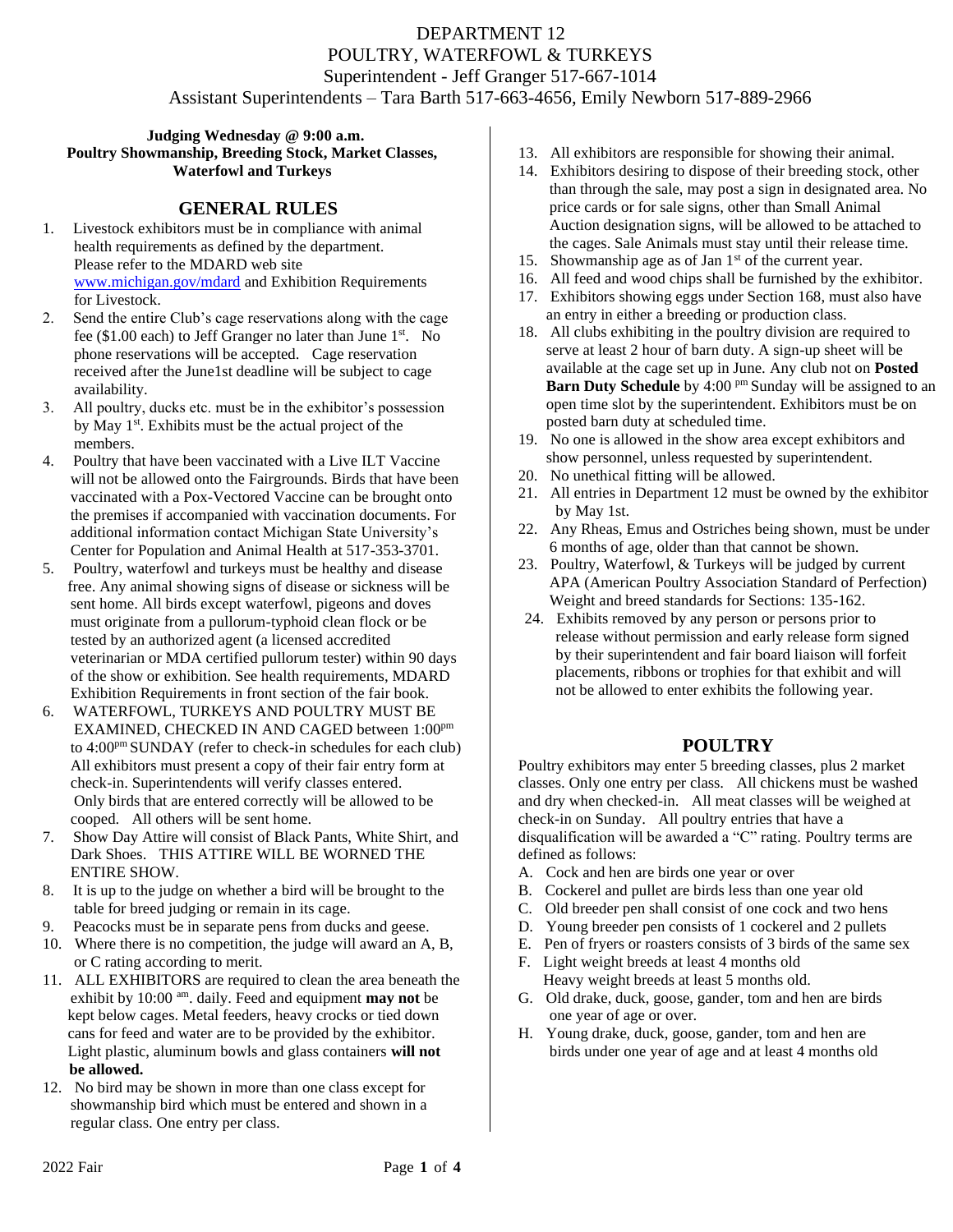## **Judging Wednesday @ 9:00 a.m. Poultry Showmanship, Breeding Stock, Market Classes, Waterfowl and Turkeys**

## **GENERAL RULES**

- 1. Livestock exhibitors must be in compliance with animal health requirements as defined by the department. Please refer to the MDARD web site [www.michigan.gov/mdard](http://www.michigan.gov/mdard) and Exhibition Requirements for Livestock.
- 2. Send the entire Club's cage reservations along with the cage fee (\$1.00 each) to Jeff Granger no later than June  $1<sup>st</sup>$ . No phone reservations will be accepted. Cage reservation received after the June1st deadline will be subject to cage availability.
- 3. All poultry, ducks etc. must be in the exhibitor's possession by May 1<sup>st</sup>. Exhibits must be the actual project of the members.
- 4. Poultry that have been vaccinated with a Live ILT Vaccine will not be allowed onto the Fairgrounds. Birds that have been vaccinated with a Pox-Vectored Vaccine can be brought onto the premises if accompanied with vaccination documents. For additional information contact Michigan State University's Center for Population and Animal Health at 517-353-3701.
- 5. Poultry, waterfowl and turkeys must be healthy and disease free. Any animal showing signs of disease or sickness will be sent home. All birds except waterfowl, pigeons and doves must originate from a pullorum-typhoid clean flock or be tested by an authorized agent (a licensed accredited veterinarian or MDA certified pullorum tester) within 90 days of the show or exhibition. See health requirements, MDARD Exhibition Requirements in front section of the fair book.
- 6. WATERFOWL, TURKEYS AND POULTRY MUST BE EXAMINED, CHECKED IN AND CAGED between 1:00pm to 4:00pm SUNDAY (refer to check-in schedules for each club) All exhibitors must present a copy of their fair entry form at check-in. Superintendents will verify classes entered. Only birds that are entered correctly will be allowed to be cooped. All others will be sent home.
- 7. Show Day Attire will consist of Black Pants, White Shirt, and Dark Shoes. THIS ATTIRE WILL BE WORNED THE ENTIRE SHOW.
- 8. It is up to the judge on whether a bird will be brought to the table for breed judging or remain in its cage.
- 9. Peacocks must be in separate pens from ducks and geese.
- 10. Where there is no competition, the judge will award an A, B, or C rating according to merit.
- 11. ALL EXHIBITORS are required to clean the area beneath the exhibit by 10:00 am. daily. Feed and equipment **may not** be kept below cages. Metal feeders, heavy crocks or tied down cans for feed and water are to be provided by the exhibitor. Light plastic, aluminum bowls and glass containers **will not be allowed.**
- 12. No bird may be shown in more than one class except for showmanship bird which must be entered and shown in a regular class. One entry per class.
- 13. All exhibitors are responsible for showing their animal.
- 14. Exhibitors desiring to dispose of their breeding stock, other than through the sale, may post a sign in designated area. No price cards or for sale signs, other than Small Animal Auction designation signs, will be allowed to be attached to the cages. Sale Animals must stay until their release time.
- 15. Showmanship age as of Jan  $1<sup>st</sup>$  of the current year.
- 16. All feed and wood chips shall be furnished by the exhibitor.
- 17. Exhibitors showing eggs under Section 168, must also have an entry in either a breeding or production class.
- 18. All clubs exhibiting in the poultry division are required to serve at least 2 hour of barn duty. A sign-up sheet will be available at the cage set up in June. Any club not on **Posted Barn Duty Schedule** by 4:00 pm Sunday will be assigned to an open time slot by the superintendent. Exhibitors must be on posted barn duty at scheduled time.
- 19. No one is allowed in the show area except exhibitors and show personnel, unless requested by superintendent.
- 20. No unethical fitting will be allowed.
- 21. All entries in Department 12 must be owned by the exhibitor by May 1st.
- 22. Any Rheas, Emus and Ostriches being shown, must be under 6 months of age, older than that cannot be shown.
- 23. Poultry, Waterfowl, & Turkeys will be judged by current APA (American Poultry Association Standard of Perfection) Weight and breed standards for Sections: 135-162.
- 24. Exhibits removed by any person or persons prior to release without permission and early release form signed by their superintendent and fair board liaison will forfeit placements, ribbons or trophies for that exhibit and will not be allowed to enter exhibits the following year.

# **POULTRY**

Poultry exhibitors may enter 5 breeding classes, plus 2 market classes. Only one entry per class. All chickens must be washed and dry when checked-in. All meat classes will be weighed at check-in on Sunday. All poultry entries that have a disqualification will be awarded a "C" rating. Poultry terms are defined as follows:

- A. Cock and hen are birds one year or over
- B. Cockerel and pullet are birds less than one year old
- C. Old breeder pen shall consist of one cock and two hens
- D. Young breeder pen consists of 1 cockerel and 2 pullets
- E. Pen of fryers or roasters consists of 3 birds of the same sex
- F. Light weight breeds at least 4 months old Heavy weight breeds at least 5 months old.
- G. Old drake, duck, goose, gander, tom and hen are birds one year of age or over.
- H. Young drake, duck, goose, gander, tom and hen are birds under one year of age and at least 4 months old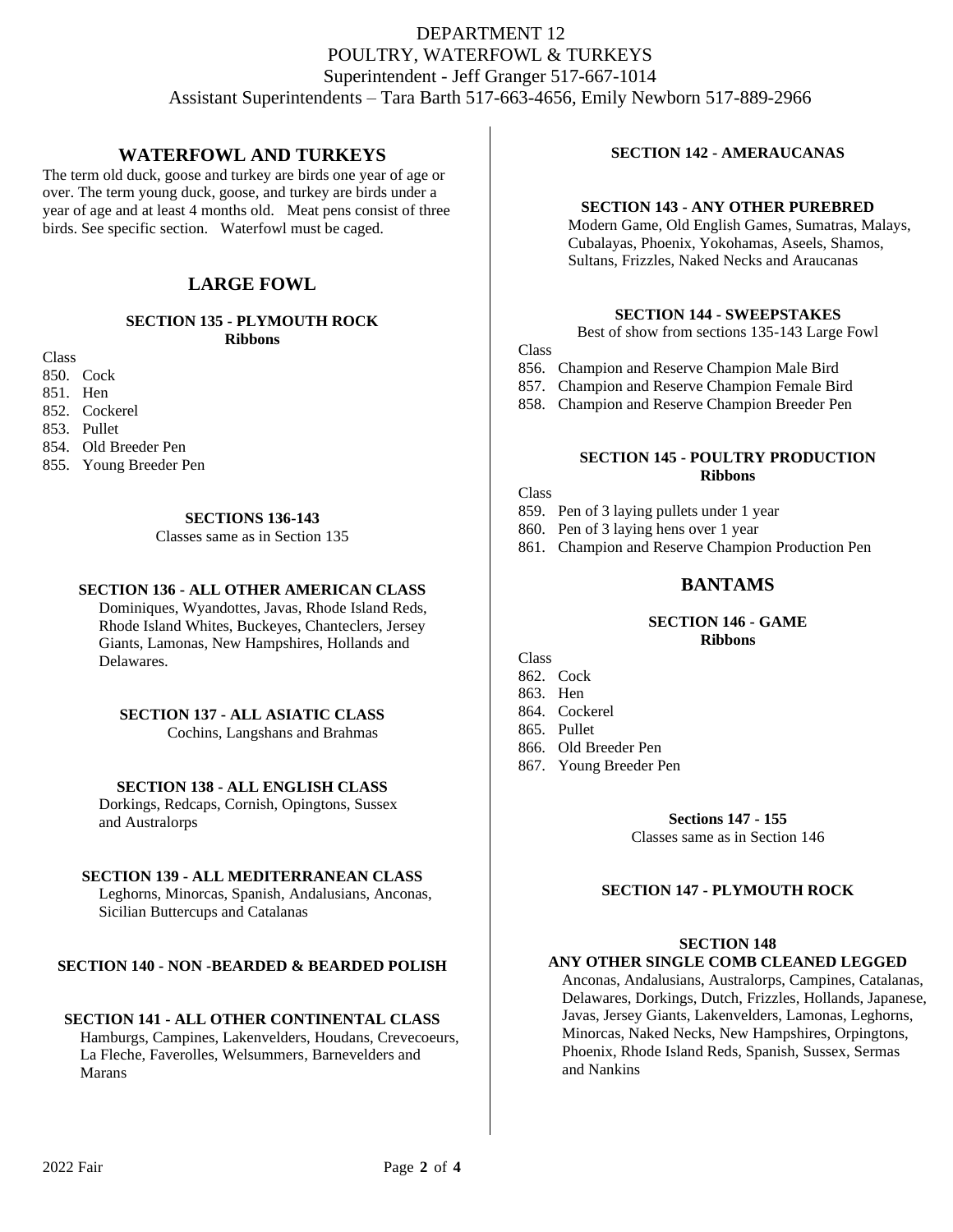# **WATERFOWL AND TURKEYS**

The term old duck, goose and turkey are birds one year of age or over. The term young duck, goose, and turkey are birds under a year of age and at least 4 months old. Meat pens consist of three birds. See specific section. Waterfowl must be caged.

# **LARGE FOWL**

#### **SECTION 135 - PLYMOUTH ROCK Ribbons**

Class

850. Cock

851. Hen

852. Cockerel

853. Pullet

854. Old Breeder Pen

855. Young Breeder Pen

## **SECTIONS 136-143**

Classes same as in Section 135

## **SECTION 136 - ALL OTHER AMERICAN CLASS**

 Dominiques, Wyandottes, Javas, Rhode Island Reds, Rhode Island Whites, Buckeyes, Chanteclers, Jersey Giants, Lamonas, New Hampshires, Hollands and Delawares.

## **SECTION 137 - ALL ASIATIC CLASS**

Cochins, Langshans and Brahmas

## **SECTION 138 - ALL ENGLISH CLASS**

 Dorkings, Redcaps, Cornish, Opingtons, Sussex and Australorps

## **SECTION 139 - ALL MEDITERRANEAN CLASS**

 Leghorns, Minorcas, Spanish, Andalusians, Anconas, Sicilian Buttercups and Catalanas

## **SECTION 140 - NON -BEARDED & BEARDED POLISH**

## **SECTION 141 - ALL OTHER CONTINENTAL CLASS**

 Hamburgs, Campines, Lakenvelders, Houdans, Crevecoeurs, La Fleche, Faverolles, Welsummers, Barnevelders and Marans

# **SECTION 142 - AMERAUCANAS**

## **SECTION 143 - ANY OTHER PUREBRED**

 Modern Game, Old English Games, Sumatras, Malays, Cubalayas, Phoenix, Yokohamas, Aseels, Shamos, Sultans, Frizzles, Naked Necks and Araucanas

## **SECTION 144 - SWEEPSTAKES**

```
Best of show from sections 135-143 Large Fowl
```
Class

- 856. Champion and Reserve Champion Male Bird
- 857. Champion and Reserve Champion Female Bird
- 858. Champion and Reserve Champion Breeder Pen

## **SECTION 145 - POULTRY PRODUCTION Ribbons**

Class

- 859. Pen of 3 laying pullets under 1 year
- 860. Pen of 3 laying hens over 1 year
- 861. Champion and Reserve Champion Production Pen

## **BANTAMS**

#### **SECTION 146 - GAME Ribbons**

- **Class** 862. Cock
- 863. Hen
- 864. Cockerel
- 865. Pullet
- 
- 866. Old Breeder Pen
- 867. Young Breeder Pen

**Sections 147 - 155**

Classes same as in Section 146

## **SECTION 147 - PLYMOUTH ROCK**

#### **SECTION 148**

## **ANY OTHER SINGLE COMB CLEANED LEGGED**

 Anconas, Andalusians, Australorps, Campines, Catalanas, Delawares, Dorkings, Dutch, Frizzles, Hollands, Japanese, Javas, Jersey Giants, Lakenvelders, Lamonas, Leghorns, Minorcas, Naked Necks, New Hampshires, Orpingtons, Phoenix, Rhode Island Reds, Spanish, Sussex, Sermas and Nankins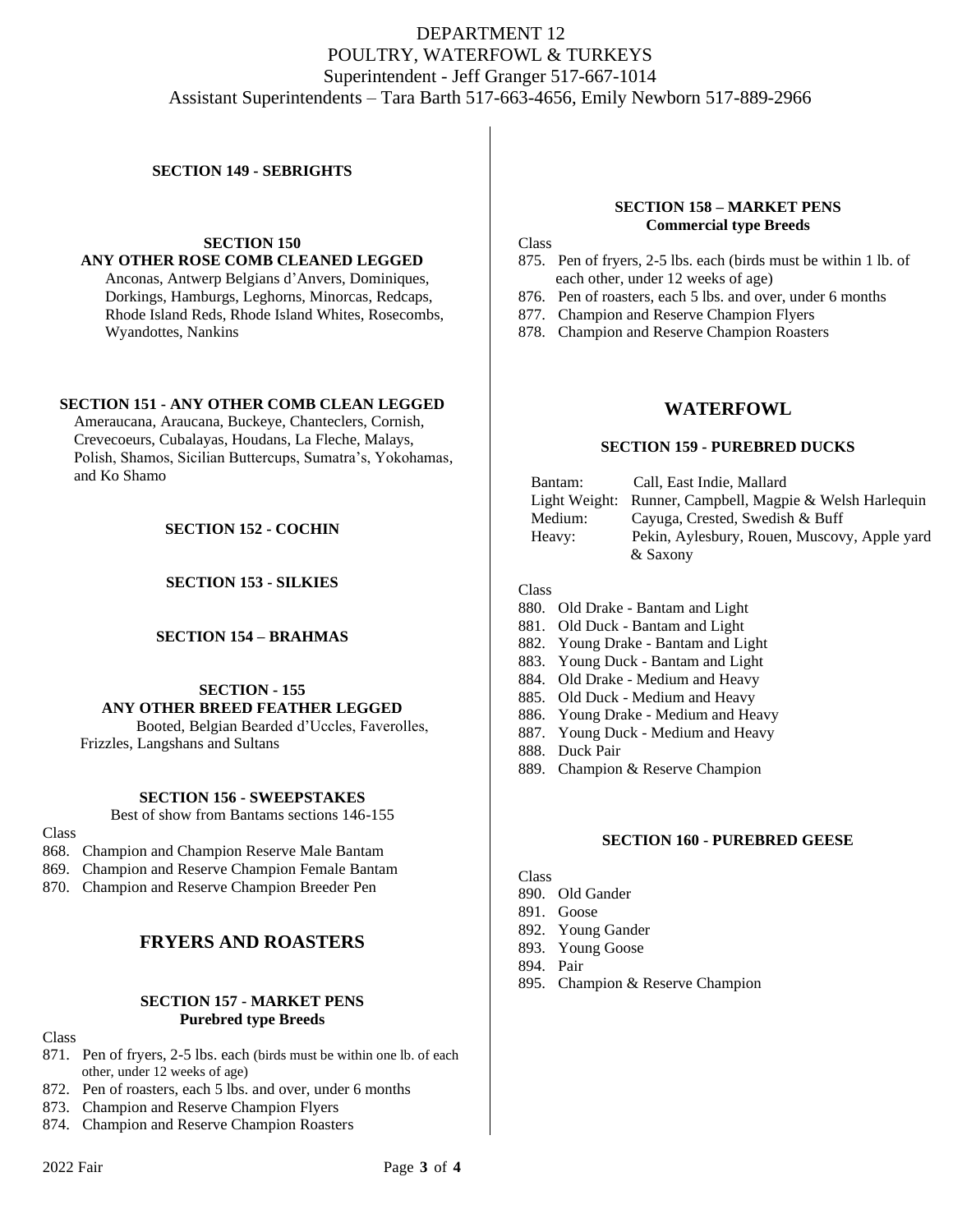## **SECTION 149 - SEBRIGHTS**

**SECTION 150 ANY OTHER ROSE COMB CLEANED LEGGED**

 Anconas, Antwerp Belgians d'Anvers, Dominiques, Dorkings, Hamburgs, Leghorns, Minorcas, Redcaps, Rhode Island Reds, Rhode Island Whites, Rosecombs, Wyandottes, Nankins

### **SECTION 151 - ANY OTHER COMB CLEAN LEGGED**

 Ameraucana, Araucana, Buckeye, Chanteclers, Cornish, Crevecoeurs, Cubalayas, Houdans, La Fleche, Malays, Polish, Shamos, Sicilian Buttercups, Sumatra's, Yokohamas, and Ko Shamo

### **SECTION 152 - COCHIN**

**SECTION 153 - SILKIES**

#### **SECTION 154 – BRAHMAS**

## **SECTION - 155 ANY OTHER BREED FEATHER LEGGED**

 Booted, Belgian Bearded d'Uccles, Faverolles, Frizzles, Langshans and Sultans

#### **SECTION 156 - SWEEPSTAKES**

Best of show from Bantams sections 146-155

#### **Class**

- 868. Champion and Champion Reserve Male Bantam
- 869. Champion and Reserve Champion Female Bantam
- 870. Champion and Reserve Champion Breeder Pen

# **FRYERS AND ROASTERS**

## **SECTION 157 - MARKET PENS Purebred type Breeds**

Class

- 871. Pen of fryers, 2-5 lbs. each (birds must be within one lb. of each other, under 12 weeks of age)
- 872. Pen of roasters, each 5 lbs. and over, under 6 months
- 873. Champion and Reserve Champion Flyers
- 874. Champion and Reserve Champion Roasters

### **SECTION 158 – MARKET PENS Commercial type Breeds**

**Class** 

- 875. Pen of fryers, 2-5 lbs. each (birds must be within 1 lb. of each other, under 12 weeks of age)
- 876. Pen of roasters, each 5 lbs. and over, under 6 months
- 877. Champion and Reserve Champion Flyers
- 878. Champion and Reserve Champion Roasters

## **WATERFOWL**

### **SECTION 159 - PUREBRED DUCKS**

| Bantam:       | Call, East Indie, Mallard                    |
|---------------|----------------------------------------------|
| Light Weight: | Runner, Campbell, Magpie & Welsh Harlequin   |
| Medium:       | Cayuga, Crested, Swedish & Buff              |
| Heavy:        | Pekin, Aylesbury, Rouen, Muscovy, Apple yard |
|               | & Saxony                                     |

#### Class

- 880. Old Drake Bantam and Light
- 881. Old Duck Bantam and Light
- 882. Young Drake Bantam and Light
- 883. Young Duck Bantam and Light
- 884. Old Drake Medium and Heavy
- 885. Old Duck Medium and Heavy
- 886. Young Drake Medium and Heavy
- 887. Young Duck Medium and Heavy
- 888. Duck Pair
- 889. Champion & Reserve Champion

#### **SECTION 160 - PUREBRED GEESE**

**Class** 

- 890. Old Gander
- 891. Goose
- 892. Young Gander
- 893. Young Goose
- 894. Pair
- 895. Champion & Reserve Champion